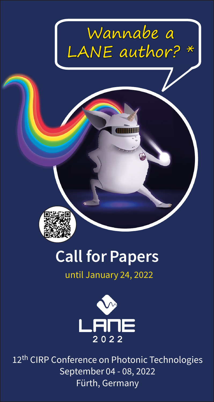



## Call for Papers

## until January 24, 2022



12<sup>th</sup> CIRP Conference on Photonic Technologies September 04 - 08, 2022 Fürth, Germany